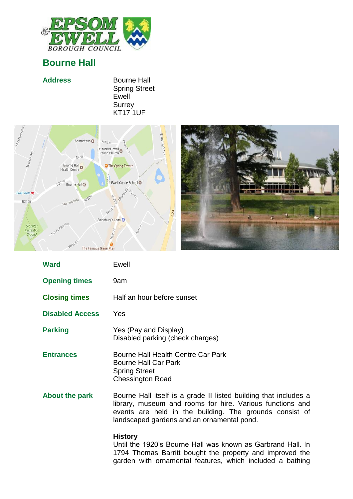

## **Bourne Hall**

| <b>Address</b> | <b>Bourne Hall</b>   |
|----------------|----------------------|
|                | <b>Spring Street</b> |
|                | Ewell                |
|                | <b>Surrey</b>        |
|                | <b>KT17 1UF</b>      |





| <b>Ward</b>            | Ewell                                                                                                                                                                                                                                  |
|------------------------|----------------------------------------------------------------------------------------------------------------------------------------------------------------------------------------------------------------------------------------|
| <b>Opening times</b>   | 9am                                                                                                                                                                                                                                    |
| <b>Closing times</b>   | Half an hour before sunset                                                                                                                                                                                                             |
| <b>Disabled Access</b> | <b>Yes</b>                                                                                                                                                                                                                             |
| <b>Parking</b>         | Yes (Pay and Display)<br>Disabled parking (check charges)                                                                                                                                                                              |
| <b>Entrances</b>       | Bourne Hall Health Centre Car Park<br><b>Bourne Hall Car Park</b><br><b>Spring Street</b><br><b>Chessington Road</b>                                                                                                                   |
| <b>About the park</b>  | Bourne Hall itself is a grade II listed building that includes a<br>library, museum and rooms for hire. Various functions and<br>events are held in the building. The grounds consist of<br>landscaped gardens and an ornamental pond. |
|                        | <b>History</b>                                                                                                                                                                                                                         |

Until the 1920's Bourne Hall was known as Garbrand Hall. In 1794 Thomas Barritt bought the property and improved the garden with ornamental features, which included a bathing